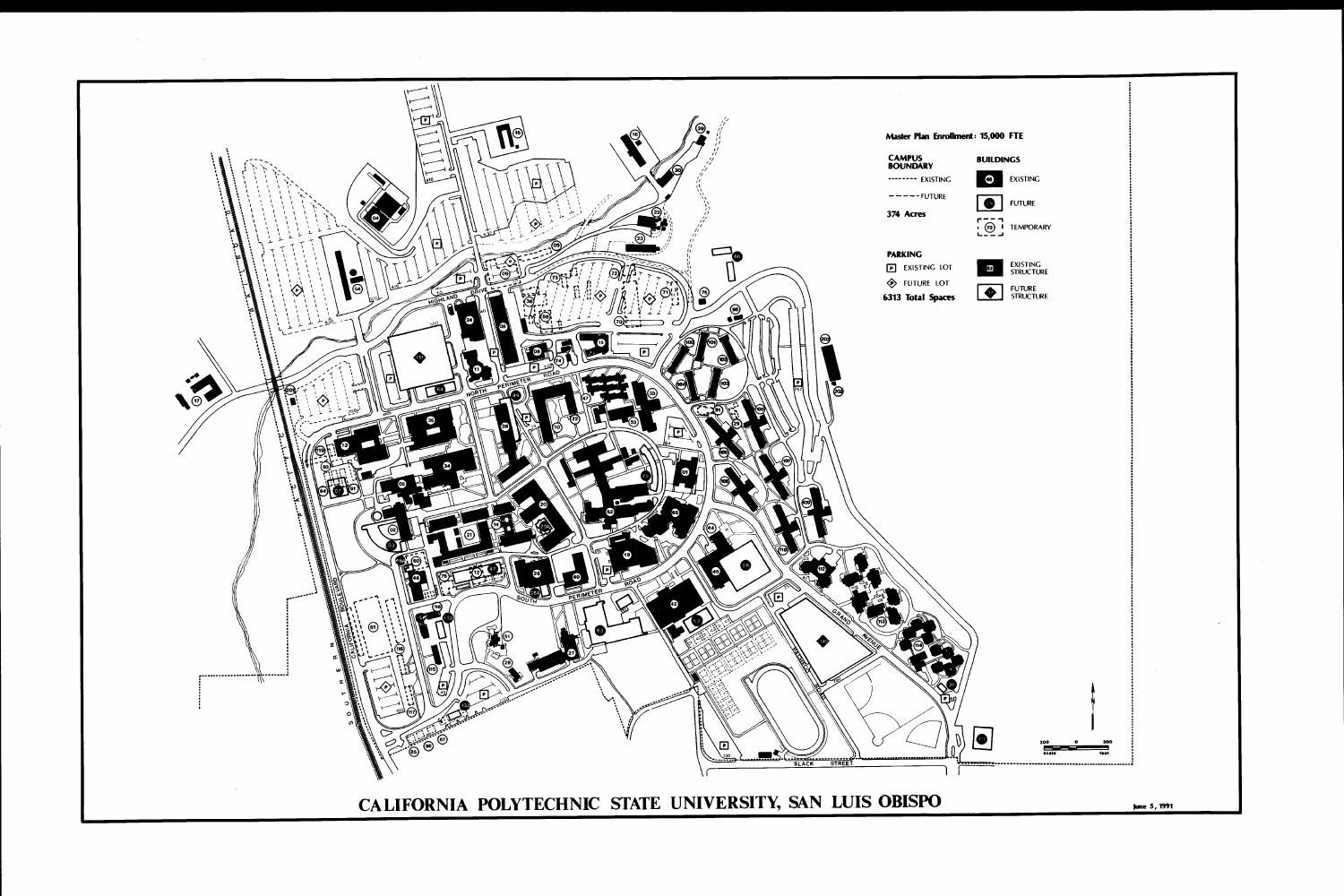